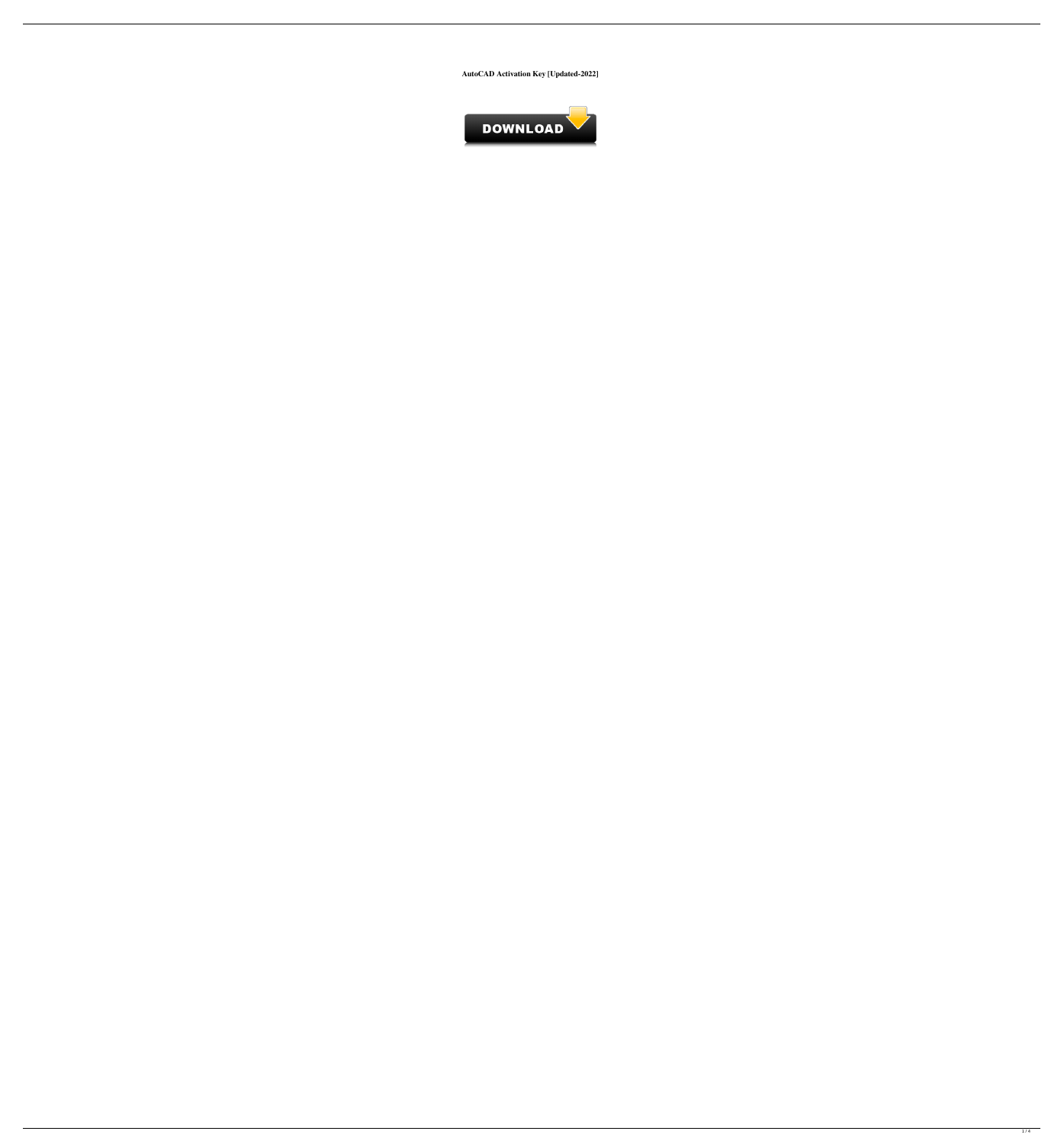**AutoCAD Activation Key [Updated-2022]**

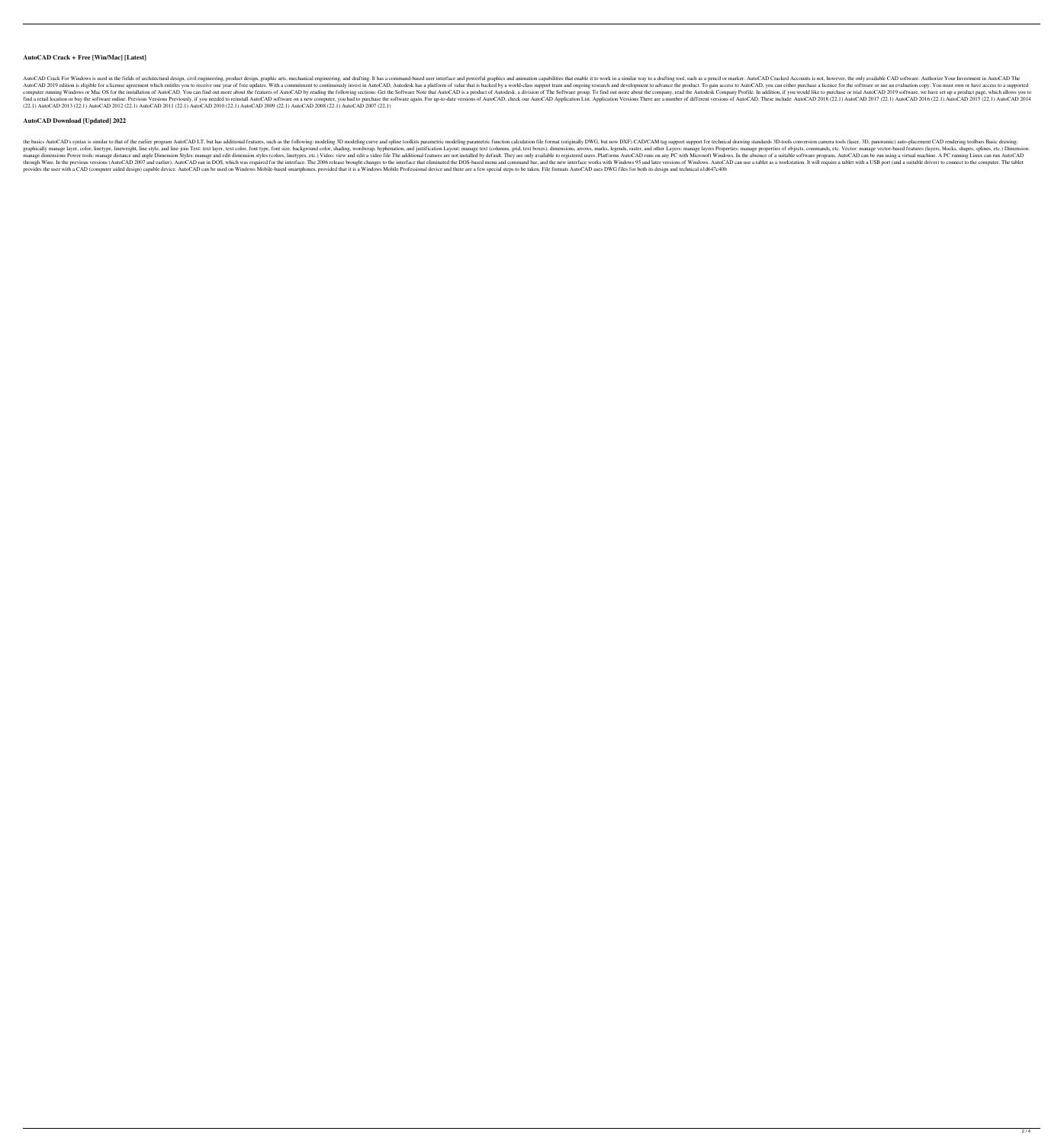### **AutoCAD Crack + Free [Win/Mac] [Latest]**

AutoCAD Crack For Windows is used in the fields of architectural design, civil engineering, product design, civil engineering, product design, graphic arts, mechanical engineering, and drafting. It has a command-based user AutoCAD 2019 edition is eligible for a license agreement which entitles you to receive one year of free updates. With a commitment to continuously invest in AutoCAD, Autodesk has a platform of value that is backed by a wor computer running Windows or Mac OS for the installation of AutoCAD. You can find out more about the features of AutoCAD by reading the following sections: Get the Software Note that AutoCAD is a product of Autodesk Company Find a retail location or buy the software online. Previous Versions Previously, if you needed to reinstall AutoCAD software on a new computer, you had to purchase the software again. For up-to-date versions of AutoCAD App (22.1) AutoCAD 2013 (22.1) AutoCAD 2012 (22.1) AutoCAD 2011 (22.1) AutoCAD 2010 (22.1) AutoCAD 2009 (22.1) AutoCAD 2008 (22.1) AutoCAD 2007 (22.1)

### **AutoCAD Download [Updated] 2022**

the basics AutoCAD's syntax is similar to that of the earlier program AutoCAD LT, but has additional features, such as the following: modeling 3D modeling curve and spline toolkits parametric function calculation file form graphically manage layer, color, linetype, lineweight, line style, and line join Text: text layer, text color, font type, font size, background color, shading, wordwrap, hyphenation, and justification Layout: manage layers manage dimensions Power tools: manage distance and angle Dimension Styles: manage and edit dimension Styles: manage and edit dimension styles (colors, linetypes, etc.) Video: view and edit a video file The additional featu through Wine. In the previous versions (AutoCAD 2007 and earlier), AutoCAD ran in DOS, which was required for the interface. The 2006 release brought changes to the interface that eliminated the DOS-based menu and command provides the user with a CAD (computer aided design) capable device. AutoCAD can be used on Windows Mobile-based smartphones, provided that it is a Windows Mobile Professional device and there are a few special steps to be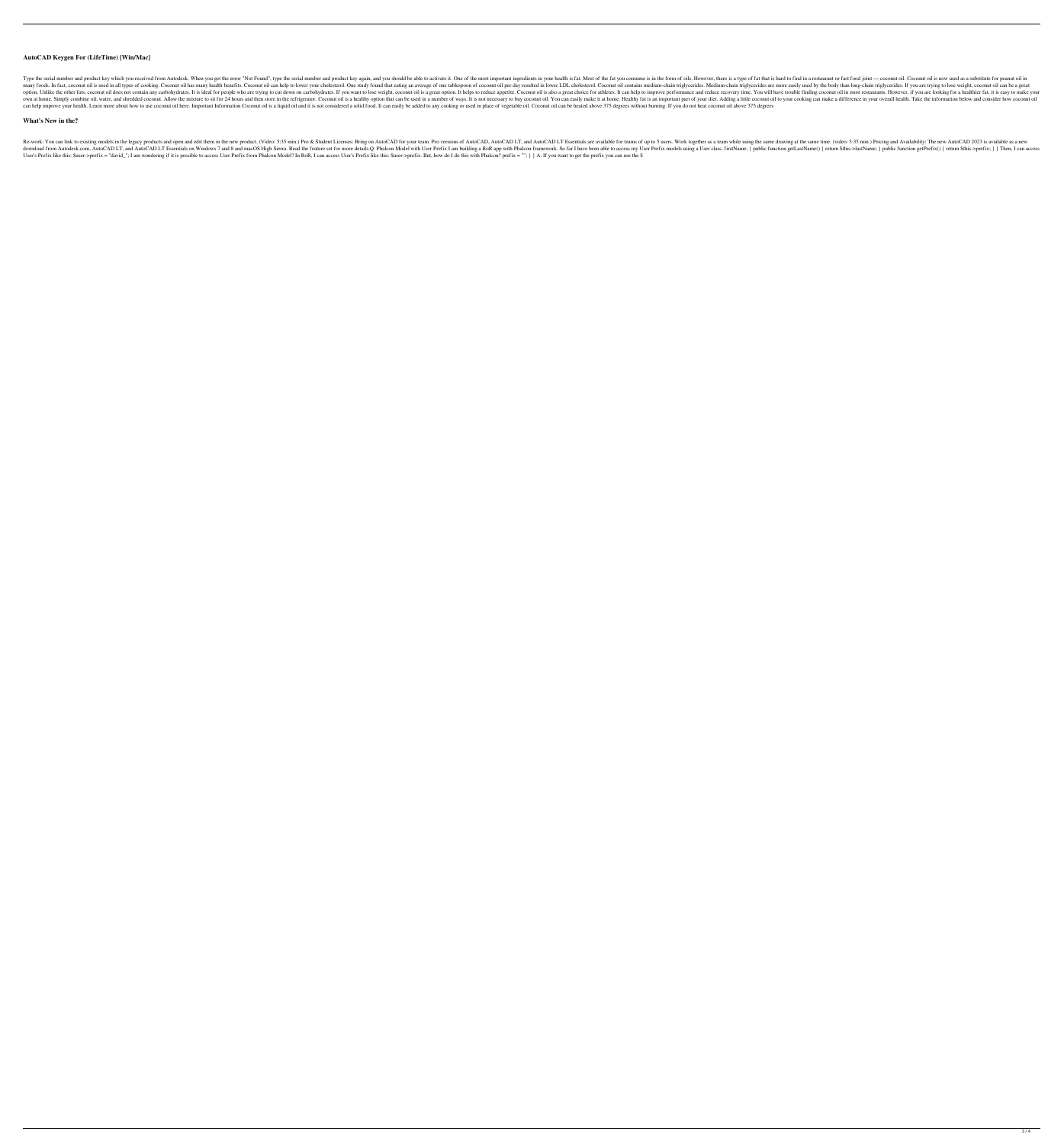## **AutoCAD Keygen For (LifeTime) [Win/Mac]**

Type the serial number and product key which you received from Autodesk. When you get the error "Not Found", type the serial number and product key again, and you should be able to activate it. One of the fat you consume i many foods. In fact, coconut oil is used in all types of cooking. Coconut oil has many health benefits. Coconut oil has many health benefits. Coconut oil can help to lower your cholesterol. One study found that eating an a option. Unlike the other fats, coconut oil does not contain any carbohydrates. It is ideal for people who are trying to cut down on carbohydrates. If you want to lose weight, coconut oil is a great choice for athletes. It own at home. Simply combine oil, water, and shredded coconut. Allow the mixture to sit for 24 hours and then store in the refrigerator. Coconut oil is a healthy option that can be used in a number of ways. It is not necess can help improve your health. Learn more about how to use coconut oil here. Important Information Coconut oil is a liquid oil and it is not considered a solid food. It can easily be added to any cooking or used in place of

## **What's New in the?**

Re-work: You can link to existing models in the legacy products and open and edit them in the new product. (Video: 5:35 min.) Pro & Student Licenses: Bring on AutoCAD LT Essentials are available for teams of up to 5 users. download from AutoCAD LT, and AutoCAD LT Essentials on Windows 7 and 8 and macOS High Sierra. Read the feature set for more details.Q: Phalcon Model with User Prefix I am building a RoR app with Phalcon framework. So far I User's Prefix like this: \$user->prefix = "david\_"; I am wondering if it is possible to access User Prefix from Phalcon Model? In RoR, I can access User's Prefix like this: \$user->prefix. But, how do I do this with Phalcon?